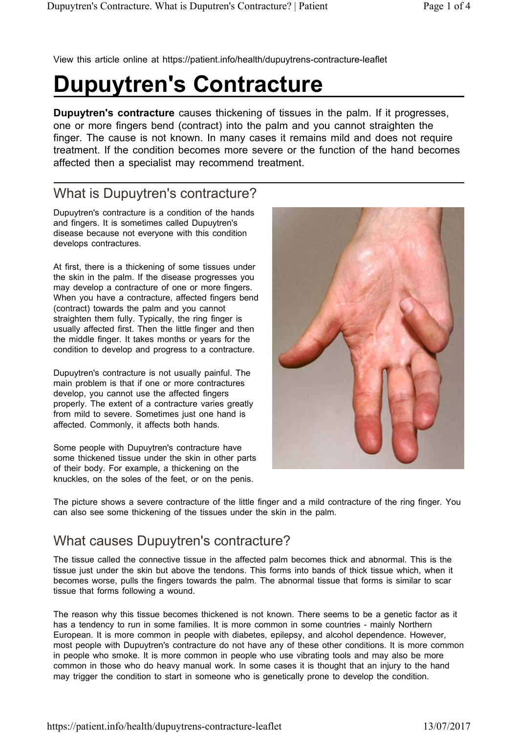View this article online at https://patient.info/health/dupuytrens-contracture-leaflet

# **Dupuytren's Contracture**

**Dupuytren's contracture** causes thickening of tissues in the palm. If it progresses, one or more fingers bend (contract) into the palm and you cannot straighten the finger. The cause is not known. In many cases it remains mild and does not require treatment. If the condition becomes more severe or the function of the hand becomes affected then a specialist may recommend treatment.

### What is Dupuytren's contracture?

Dupuytren's contracture is a condition of the hands and fingers. It is sometimes called Dupuytren's disease because not everyone with this condition develops contractures.

At first, there is a thickening of some tissues under the skin in the palm. If the disease progresses you may develop a contracture of one or more fingers. When you have a contracture, affected fingers bend (contract) towards the palm and you cannot straighten them fully. Typically, the ring finger is usually affected first. Then the little finger and then the middle finger. It takes months or years for the condition to develop and progress to a contracture.

Dupuytren's contracture is not usually painful. The main problem is that if one or more contractures develop, you cannot use the affected fingers properly. The extent of a contracture varies greatly from mild to severe. Sometimes just one hand is affected. Commonly, it affects both hands.

Some people with Dupuytren's contracture have some thickened tissue under the skin in other parts of their body. For example, a thickening on the knuckles, on the soles of the feet, or on the penis.



The picture shows a severe contracture of the little finger and a mild contracture of the ring finger. You can also see some thickening of the tissues under the skin in the palm.

### What causes Dupuytren's contracture?

The tissue called the connective tissue in the affected palm becomes thick and abnormal. This is the tissue just under the skin but above the tendons. This forms into bands of thick tissue which, when it becomes worse, pulls the fingers towards the palm. The abnormal tissue that forms is similar to scar tissue that forms following a wound.

The reason why this tissue becomes thickened is not known. There seems to be a genetic factor as it has a tendency to run in some families. It is more common in some countries - mainly Northern European. It is more common in people with diabetes, epilepsy, and alcohol dependence. However, most people with Dupuytren's contracture do not have any of these other conditions. It is more common in people who smoke. It is more common in people who use vibrating tools and may also be more common in those who do heavy manual work. In some cases it is thought that an injury to the hand may trigger the condition to start in someone who is genetically prone to develop the condition.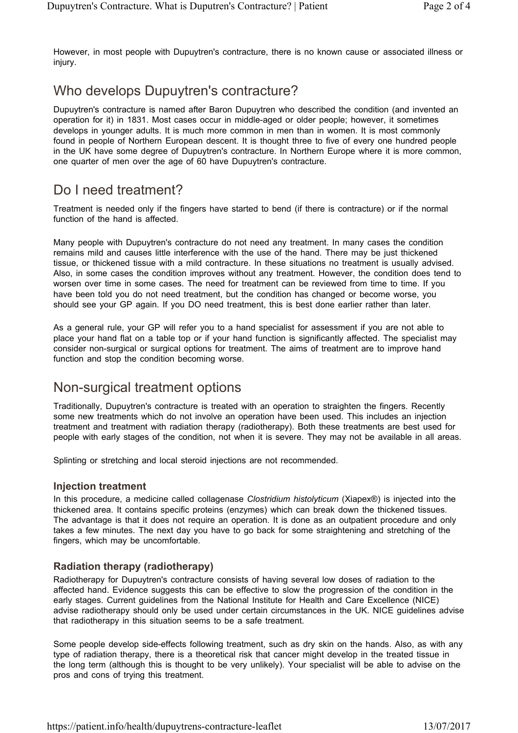However, in most people with Dupuytren's contracture, there is no known cause or associated illness or injury.

## Who develops Dupuytren's contracture?

Dupuytren's contracture is named after Baron Dupuytren who described the condition (and invented an operation for it) in 1831. Most cases occur in middle-aged or older people; however, it sometimes develops in younger adults. It is much more common in men than in women. It is most commonly found in people of Northern European descent. It is thought three to five of every one hundred people in the UK have some degree of Dupuytren's contracture. In Northern Europe where it is more common, one quarter of men over the age of 60 have Dupuytren's contracture.

### Do I need treatment?

Treatment is needed only if the fingers have started to bend (if there is contracture) or if the normal function of the hand is affected.

Many people with Dupuytren's contracture do not need any treatment. In many cases the condition remains mild and causes little interference with the use of the hand. There may be just thickened tissue, or thickened tissue with a mild contracture. In these situations no treatment is usually advised. Also, in some cases the condition improves without any treatment. However, the condition does tend to worsen over time in some cases. The need for treatment can be reviewed from time to time. If you have been told you do not need treatment, but the condition has changed or become worse, you should see your GP again. If you DO need treatment, this is best done earlier rather than later.

As a general rule, your GP will refer you to a hand specialist for assessment if you are not able to place your hand flat on a table top or if your hand function is significantly affected. The specialist may consider non-surgical or surgical options for treatment. The aims of treatment are to improve hand function and stop the condition becoming worse.

### Non-surgical treatment options

Traditionally, Dupuytren's contracture is treated with an operation to straighten the fingers. Recently some new treatments which do not involve an operation have been used. This includes an injection treatment and treatment with radiation therapy (radiotherapy). Both these treatments are best used for people with early stages of the condition, not when it is severe. They may not be available in all areas.

Splinting or stretching and local steroid injections are not recommended.

#### **Injection treatment**

In this procedure, a medicine called collagenase *Clostridium histolyticum* (Xiapex®) is injected into the thickened area. It contains specific proteins (enzymes) which can break down the thickened tissues. The advantage is that it does not require an operation. It is done as an outpatient procedure and only takes a few minutes. The next day you have to go back for some straightening and stretching of the fingers, which may be uncomfortable.

#### **Radiation therapy (radiotherapy)**

Radiotherapy for Dupuytren's contracture consists of having several low doses of radiation to the affected hand. Evidence suggests this can be effective to slow the progression of the condition in the early stages. Current guidelines from the National Institute for Health and Care Excellence (NICE) advise radiotherapy should only be used under certain circumstances in the UK. NICE guidelines advise that radiotherapy in this situation seems to be a safe treatment.

Some people develop side-effects following treatment, such as dry skin on the hands. Also, as with any type of radiation therapy, there is a theoretical risk that cancer might develop in the treated tissue in the long term (although this is thought to be very unlikely). Your specialist will be able to advise on the pros and cons of trying this treatment.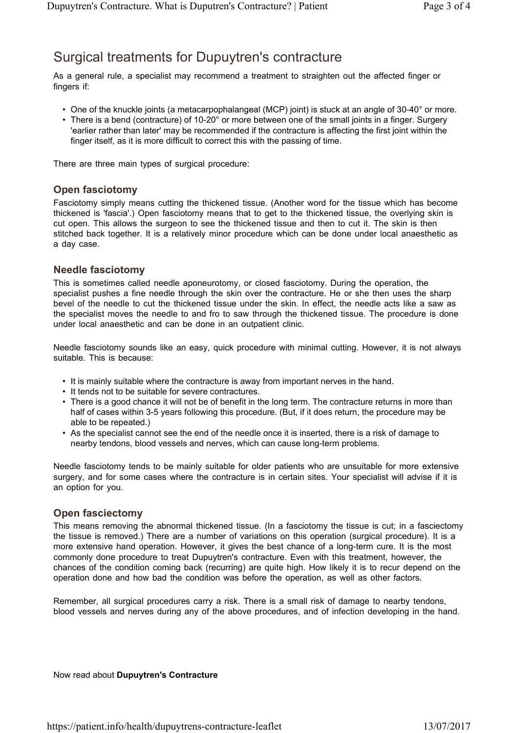### Surgical treatments for Dupuytren's contracture

As a general rule, a specialist may recommend a treatment to straighten out the affected finger or fingers if:

- One of the knuckle joints (a metacarpophalangeal (MCP) joint) is stuck at an angle of 30-40° or more.
- There is a bend (contracture) of 10-20 $^{\circ}$  or more between one of the small joints in a finger. Surgery 'earlier rather than later' may be recommended if the contracture is affecting the first joint within the finger itself, as it is more difficult to correct this with the passing of time.

There are three main types of surgical procedure:

#### **Open fasciotomy**

Fasciotomy simply means cutting the thickened tissue. (Another word for the tissue which has become thickened is 'fascia'.) Open fasciotomy means that to get to the thickened tissue, the overlying skin is cut open. This allows the surgeon to see the thickened tissue and then to cut it. The skin is then stitched back together. It is a relatively minor procedure which can be done under local anaesthetic as a day case.

#### **Needle fasciotomy**

This is sometimes called needle aponeurotomy, or closed fasciotomy. During the operation, the specialist pushes a fine needle through the skin over the contracture. He or she then uses the sharp bevel of the needle to cut the thickened tissue under the skin. In effect, the needle acts like a saw as the specialist moves the needle to and fro to saw through the thickened tissue. The procedure is done under local anaesthetic and can be done in an outpatient clinic.

Needle fasciotomy sounds like an easy, quick procedure with minimal cutting. However, it is not always suitable. This is because:

- It is mainly suitable where the contracture is away from important nerves in the hand.
- It tends not to be suitable for severe contractures.
- There is a good chance it will not be of benefit in the long term. The contracture returns in more than half of cases within 3-5 years following this procedure. (But, if it does return, the procedure may be able to be repeated.)
- As the specialist cannot see the end of the needle once it is inserted, there is a risk of damage to nearby tendons, blood vessels and nerves, which can cause long-term problems.

Needle fasciotomy tends to be mainly suitable for older patients who are unsuitable for more extensive surgery, and for some cases where the contracture is in certain sites. Your specialist will advise if it is an option for you.

#### **Open fasciectomy**

This means removing the abnormal thickened tissue. (In a fasciotomy the tissue is cut; in a fasciectomy the tissue is removed.) There are a number of variations on this operation (surgical procedure). It is a more extensive hand operation. However, it gives the best chance of a long-term cure. It is the most commonly done procedure to treat Dupuytren's contracture. Even with this treatment, however, the chances of the condition coming back (recurring) are quite high. How likely it is to recur depend on the operation done and how bad the condition was before the operation, as well as other factors.

Remember, all surgical procedures carry a risk. There is a small risk of damage to nearby tendons, blood vessels and nerves during any of the above procedures, and of infection developing in the hand.

Now read about **Dupuytren's Contracture**